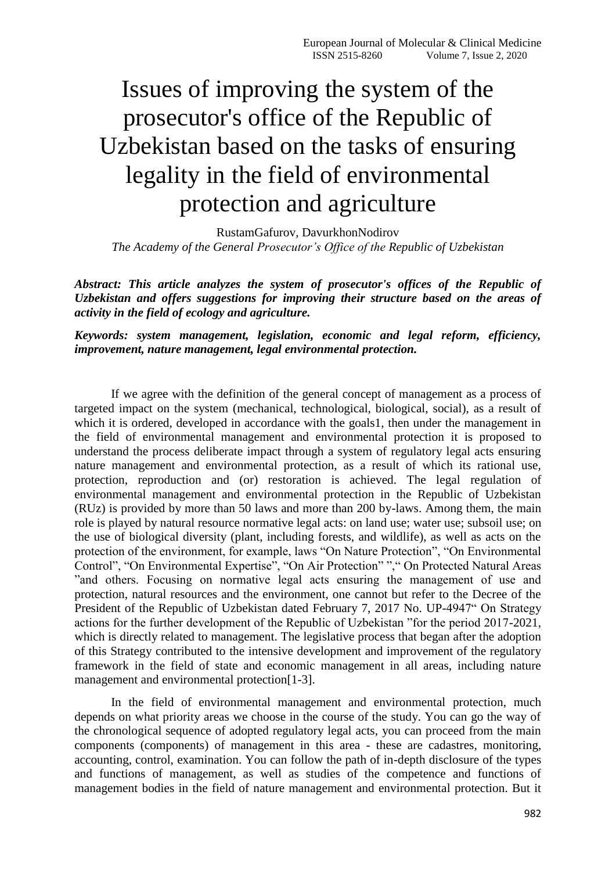## Issues of improving the system of the prosecutor's office of the Republic of Uzbekistan based on the tasks of ensuring legality in the field of environmental protection and agriculture

RustamGafurov, DavurkhonNodirov *The Academy of the General Prosecutor's Office of the Republic of Uzbekistan*

*Abstract: This article analyzes the system of prosecutor's offices of the Republic of Uzbekistan and offers suggestions for improving their structure based on the areas of activity in the field of ecology and agriculture.*

## *Keywords: system management, legislation, economic and legal reform, efficiency, improvement, nature management, legal environmental protection.*

If we agree with the definition of the general concept of management as a process of targeted impact on the system (mechanical, technological, biological, social), as a result of which it is ordered, developed in accordance with the goals1, then under the management in the field of environmental management and environmental protection it is proposed to understand the process deliberate impact through a system of regulatory legal acts ensuring nature management and environmental protection, as a result of which its rational use, protection, reproduction and (or) restoration is achieved. The legal regulation of environmental management and environmental protection in the Republic of Uzbekistan (RUz) is provided by more than 50 laws and more than 200 by-laws. Among them, the main role is played by natural resource normative legal acts: on land use; water use; subsoil use; on the use of biological diversity (plant, including forests, and wildlife), as well as acts on the protection of the environment, for example, laws "On Nature Protection", "On Environmental Control", "On Environmental Expertise", "On Air Protection" "," On Protected Natural Areas "and others. Focusing on normative legal acts ensuring the management of use and protection, natural resources and the environment, one cannot but refer to the Decree of the President of the Republic of Uzbekistan dated February 7, 2017 No. UP-4947<sup>"</sup> On Strategy actions for the further development of the Republic of Uzbekistan "for the period 2017-2021, which is directly related to management. The legislative process that began after the adoption of this Strategy contributed to the intensive development and improvement of the regulatory framework in the field of state and economic management in all areas, including nature management and environmental protection[1-3].

In the field of environmental management and environmental protection, much depends on what priority areas we choose in the course of the study. You can go the way of the chronological sequence of adopted regulatory legal acts, you can proceed from the main components (components) of management in this area - these are cadastres, monitoring, accounting, control, examination. You can follow the path of in-depth disclosure of the types and functions of management, as well as studies of the competence and functions of management bodies in the field of nature management and environmental protection. But it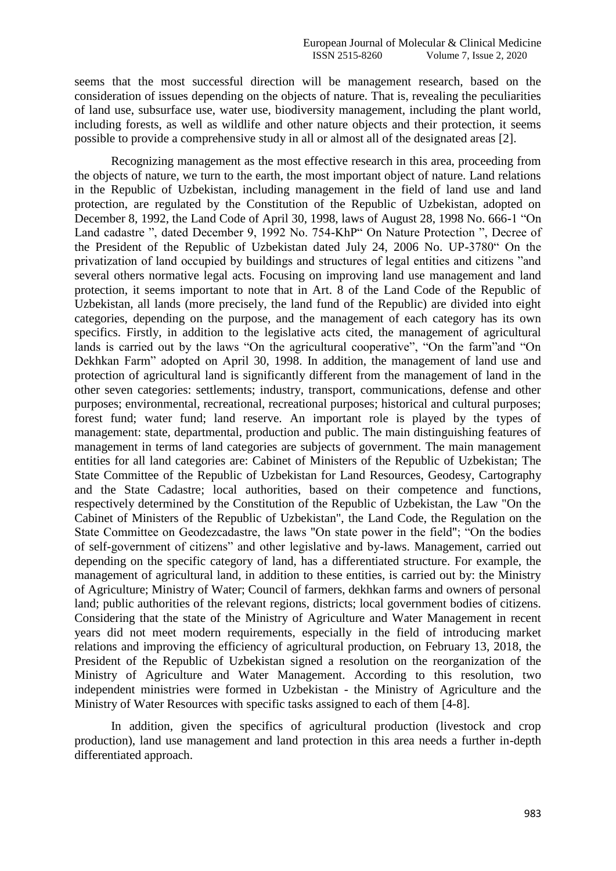seems that the most successful direction will be management research, based on the consideration of issues depending on the objects of nature. That is, revealing the peculiarities of land use, subsurface use, water use, biodiversity management, including the plant world, including forests, as well as wildlife and other nature objects and their protection, it seems possible to provide a comprehensive study in all or almost all of the designated areas [2].

Recognizing management as the most effective research in this area, proceeding from the objects of nature, we turn to the earth, the most important object of nature. Land relations in the Republic of Uzbekistan, including management in the field of land use and land protection, are regulated by the Constitution of the Republic of Uzbekistan, adopted on December 8, 1992, the Land Code of April 30, 1998, laws of August 28, 1998 No. 666-1 "On Land cadastre ", dated December 9, 1992 No. 754-KhP" On Nature Protection ", Decree of the President of the Republic of Uzbekistan dated July 24, 2006 No. UP-3780" On the privatization of land occupied by buildings and structures of legal entities and citizens "and several others normative legal acts. Focusing on improving land use management and land protection, it seems important to note that in Art. 8 of the Land Code of the Republic of Uzbekistan, all lands (more precisely, the land fund of the Republic) are divided into eight categories, depending on the purpose, and the management of each category has its own specifics. Firstly, in addition to the legislative acts cited, the management of agricultural lands is carried out by the laws "On the agricultural cooperative", "On the farm"and "On Dekhkan Farm" adopted on April 30, 1998. In addition, the management of land use and protection of agricultural land is significantly different from the management of land in the other seven categories: settlements; industry, transport, communications, defense and other purposes; environmental, recreational, recreational purposes; historical and cultural purposes; forest fund; water fund; land reserve. An important role is played by the types of management: state, departmental, production and public. The main distinguishing features of management in terms of land categories are subjects of government. The main management entities for all land categories are: Cabinet of Ministers of the Republic of Uzbekistan; The State Committee of the Republic of Uzbekistan for Land Resources, Geodesy, Cartography and the State Cadastre; local authorities, based on their competence and functions, respectively determined by the Constitution of the Republic of Uzbekistan, the Law "On the Cabinet of Ministers of the Republic of Uzbekistan", the Land Code, the Regulation on the State Committee on Geodezcadastre, the laws "On state power in the field"; "On the bodies of self-government of citizens" and other legislative and by-laws. Management, carried out depending on the specific category of land, has a differentiated structure. For example, the management of agricultural land, in addition to these entities, is carried out by: the Ministry of Agriculture; Ministry of Water; Council of farmers, dekhkan farms and owners of personal land; public authorities of the relevant regions, districts; local government bodies of citizens. Considering that the state of the Ministry of Agriculture and Water Management in recent years did not meet modern requirements, especially in the field of introducing market relations and improving the efficiency of agricultural production, on February 13, 2018, the President of the Republic of Uzbekistan signed a resolution on the reorganization of the Ministry of Agriculture and Water Management. According to this resolution, two independent ministries were formed in Uzbekistan - the Ministry of Agriculture and the Ministry of Water Resources with specific tasks assigned to each of them [4-8].

In addition, given the specifics of agricultural production (livestock and crop production), land use management and land protection in this area needs a further in-depth differentiated approach.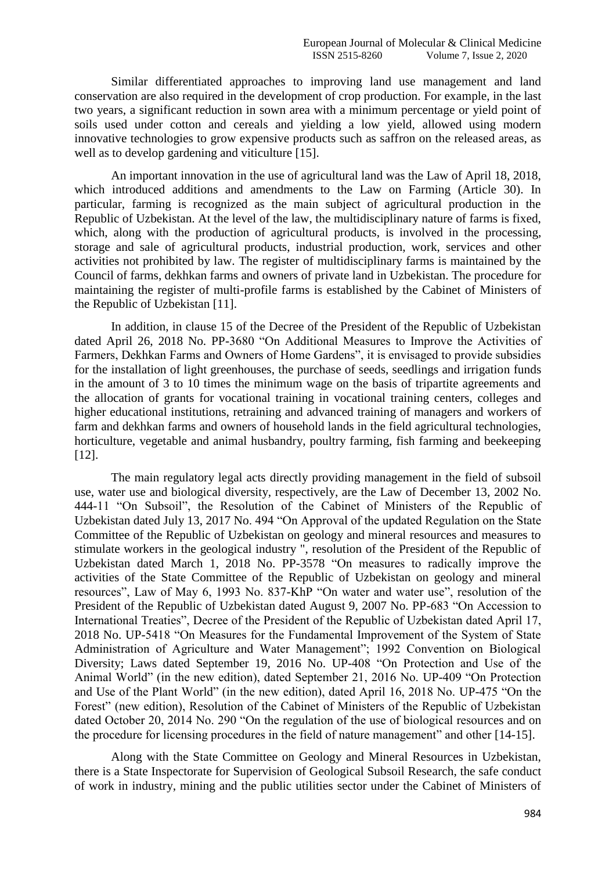Similar differentiated approaches to improving land use management and land conservation are also required in the development of crop production. For example, in the last two years, a significant reduction in sown area with a minimum percentage or yield point of soils used under cotton and cereals and yielding a low yield, allowed using modern innovative technologies to grow expensive products such as saffron on the released areas, as well as to develop gardening and viticulture [15].

An important innovation in the use of agricultural land was the Law of April 18, 2018, which introduced additions and amendments to the Law on Farming (Article 30). In particular, farming is recognized as the main subject of agricultural production in the Republic of Uzbekistan. At the level of the law, the multidisciplinary nature of farms is fixed, which, along with the production of agricultural products, is involved in the processing, storage and sale of agricultural products, industrial production, work, services and other activities not prohibited by law. The register of multidisciplinary farms is maintained by the Council of farms, dekhkan farms and owners of private land in Uzbekistan. The procedure for maintaining the register of multi-profile farms is established by the Cabinet of Ministers of the Republic of Uzbekistan [11].

In addition, in clause 15 of the Decree of the President of the Republic of Uzbekistan dated April 26, 2018 No. PP-3680 "On Additional Measures to Improve the Activities of Farmers, Dekhkan Farms and Owners of Home Gardens", it is envisaged to provide subsidies for the installation of light greenhouses, the purchase of seeds, seedlings and irrigation funds in the amount of 3 to 10 times the minimum wage on the basis of tripartite agreements and the allocation of grants for vocational training in vocational training centers, colleges and higher educational institutions, retraining and advanced training of managers and workers of farm and dekhkan farms and owners of household lands in the field agricultural technologies, horticulture, vegetable and animal husbandry, poultry farming, fish farming and beekeeping [12].

The main regulatory legal acts directly providing management in the field of subsoil use, water use and biological diversity, respectively, are the Law of December 13, 2002 No. 444-11 "On Subsoil", the Resolution of the Cabinet of Ministers of the Republic of Uzbekistan dated July 13, 2017 No. 494 "On Approval of the updated Regulation on the State Committee of the Republic of Uzbekistan on geology and mineral resources and measures to stimulate workers in the geological industry ", resolution of the President of the Republic of Uzbekistan dated March 1, 2018 No. PP-3578 "On measures to radically improve the activities of the State Committee of the Republic of Uzbekistan on geology and mineral resources", Law of May 6, 1993 No. 837-KhP "On water and water use", resolution of the President of the Republic of Uzbekistan dated August 9, 2007 No. PP-683 "On Accession to International Treaties", Decree of the President of the Republic of Uzbekistan dated April 17, 2018 No. UP-5418 "On Measures for the Fundamental Improvement of the System of State Administration of Agriculture and Water Management"; 1992 Convention on Biological Diversity; Laws dated September 19, 2016 No. UP-408 "On Protection and Use of the Animal World" (in the new edition), dated September 21, 2016 No. UP-409 "On Protection and Use of the Plant World" (in the new edition), dated April 16, 2018 No. UP-475 "On the Forest" (new edition), Resolution of the Cabinet of Ministers of the Republic of Uzbekistan dated October 20, 2014 No. 290 "On the regulation of the use of biological resources and on the procedure for licensing procedures in the field of nature management" and other [14-15].

Along with the State Committee on Geology and Mineral Resources in Uzbekistan, there is a State Inspectorate for Supervision of Geological Subsoil Research, the safe conduct of work in industry, mining and the public utilities sector under the Cabinet of Ministers of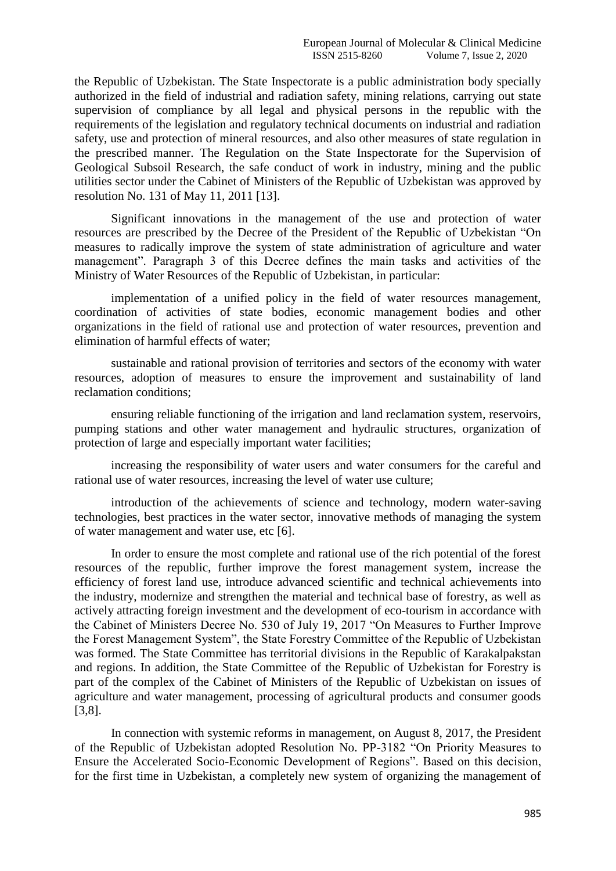the Republic of Uzbekistan. The State Inspectorate is a public administration body specially authorized in the field of industrial and radiation safety, mining relations, carrying out state supervision of compliance by all legal and physical persons in the republic with the requirements of the legislation and regulatory technical documents on industrial and radiation safety, use and protection of mineral resources, and also other measures of state regulation in the prescribed manner. The Regulation on the State Inspectorate for the Supervision of Geological Subsoil Research, the safe conduct of work in industry, mining and the public utilities sector under the Cabinet of Ministers of the Republic of Uzbekistan was approved by resolution No. 131 of May 11, 2011 [13].

Significant innovations in the management of the use and protection of water resources are prescribed by the Decree of the President of the Republic of Uzbekistan "On measures to radically improve the system of state administration of agriculture and water management". Paragraph 3 of this Decree defines the main tasks and activities of the Ministry of Water Resources of the Republic of Uzbekistan, in particular:

implementation of a unified policy in the field of water resources management, coordination of activities of state bodies, economic management bodies and other organizations in the field of rational use and protection of water resources, prevention and elimination of harmful effects of water;

sustainable and rational provision of territories and sectors of the economy with water resources, adoption of measures to ensure the improvement and sustainability of land reclamation conditions;

ensuring reliable functioning of the irrigation and land reclamation system, reservoirs, pumping stations and other water management and hydraulic structures, organization of protection of large and especially important water facilities;

increasing the responsibility of water users and water consumers for the careful and rational use of water resources, increasing the level of water use culture;

introduction of the achievements of science and technology, modern water-saving technologies, best practices in the water sector, innovative methods of managing the system of water management and water use, etc [6].

In order to ensure the most complete and rational use of the rich potential of the forest resources of the republic, further improve the forest management system, increase the efficiency of forest land use, introduce advanced scientific and technical achievements into the industry, modernize and strengthen the material and technical base of forestry, as well as actively attracting foreign investment and the development of eco-tourism in accordance with the Cabinet of Ministers Decree No. 530 of July 19, 2017 "On Measures to Further Improve the Forest Management System", the State Forestry Committee of the Republic of Uzbekistan was formed. The State Committee has territorial divisions in the Republic of Karakalpakstan and regions. In addition, the State Committee of the Republic of Uzbekistan for Forestry is part of the complex of the Cabinet of Ministers of the Republic of Uzbekistan on issues of agriculture and water management, processing of agricultural products and consumer goods [3,8].

In connection with systemic reforms in management, on August 8, 2017, the President of the Republic of Uzbekistan adopted Resolution No. PP-3182 "On Priority Measures to Ensure the Accelerated Socio-Economic Development of Regions". Based on this decision, for the first time in Uzbekistan, a completely new system of organizing the management of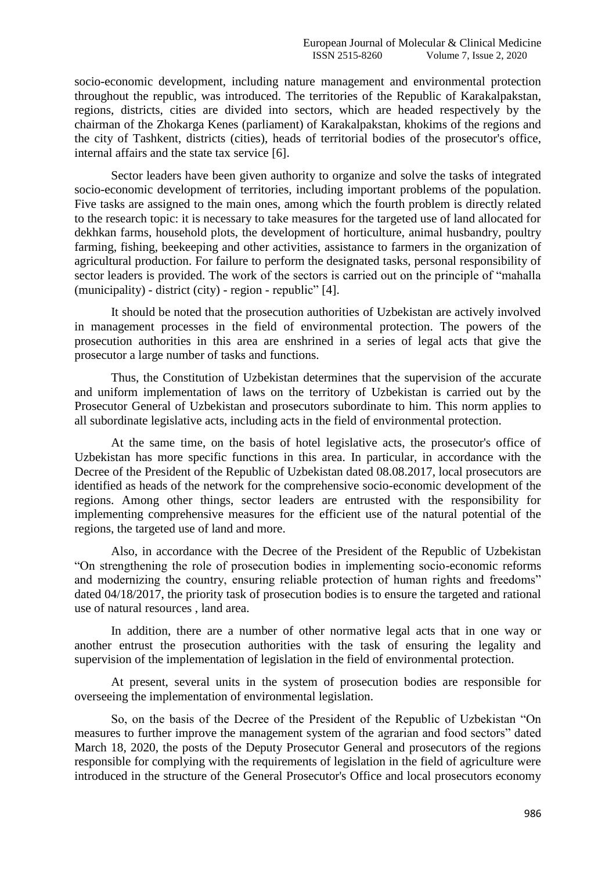socio-economic development, including nature management and environmental protection throughout the republic, was introduced. The territories of the Republic of Karakalpakstan, regions, districts, cities are divided into sectors, which are headed respectively by the chairman of the Zhokarga Kenes (parliament) of Karakalpakstan, khokims of the regions and the city of Tashkent, districts (cities), heads of territorial bodies of the prosecutor's office, internal affairs and the state tax service [6].

Sector leaders have been given authority to organize and solve the tasks of integrated socio-economic development of territories, including important problems of the population. Five tasks are assigned to the main ones, among which the fourth problem is directly related to the research topic: it is necessary to take measures for the targeted use of land allocated for dekhkan farms, household plots, the development of horticulture, animal husbandry, poultry farming, fishing, beekeeping and other activities, assistance to farmers in the organization of agricultural production. For failure to perform the designated tasks, personal responsibility of sector leaders is provided. The work of the sectors is carried out on the principle of "mahalla (municipality) - district (city) - region - republic" [4].

It should be noted that the prosecution authorities of Uzbekistan are actively involved in management processes in the field of environmental protection. The powers of the prosecution authorities in this area are enshrined in a series of legal acts that give the prosecutor a large number of tasks and functions.

Thus, the Constitution of Uzbekistan determines that the supervision of the accurate and uniform implementation of laws on the territory of Uzbekistan is carried out by the Prosecutor General of Uzbekistan and prosecutors subordinate to him. This norm applies to all subordinate legislative acts, including acts in the field of environmental protection.

At the same time, on the basis of hotel legislative acts, the prosecutor's office of Uzbekistan has more specific functions in this area. In particular, in accordance with the Decree of the President of the Republic of Uzbekistan dated 08.08.2017, local prosecutors are identified as heads of the network for the comprehensive socio-economic development of the regions. Among other things, sector leaders are entrusted with the responsibility for implementing comprehensive measures for the efficient use of the natural potential of the regions, the targeted use of land and more.

Also, in accordance with the Decree of the President of the Republic of Uzbekistan "On strengthening the role of prosecution bodies in implementing socio-economic reforms and modernizing the country, ensuring reliable protection of human rights and freedoms" dated 04/18/2017, the priority task of prosecution bodies is to ensure the targeted and rational use of natural resources , land area.

In addition, there are a number of other normative legal acts that in one way or another entrust the prosecution authorities with the task of ensuring the legality and supervision of the implementation of legislation in the field of environmental protection.

At present, several units in the system of prosecution bodies are responsible for overseeing the implementation of environmental legislation.

So, on the basis of the Decree of the President of the Republic of Uzbekistan "On measures to further improve the management system of the agrarian and food sectors" dated March 18, 2020, the posts of the Deputy Prosecutor General and prosecutors of the regions responsible for complying with the requirements of legislation in the field of agriculture were introduced in the structure of the General Prosecutor's Office and local prosecutors economy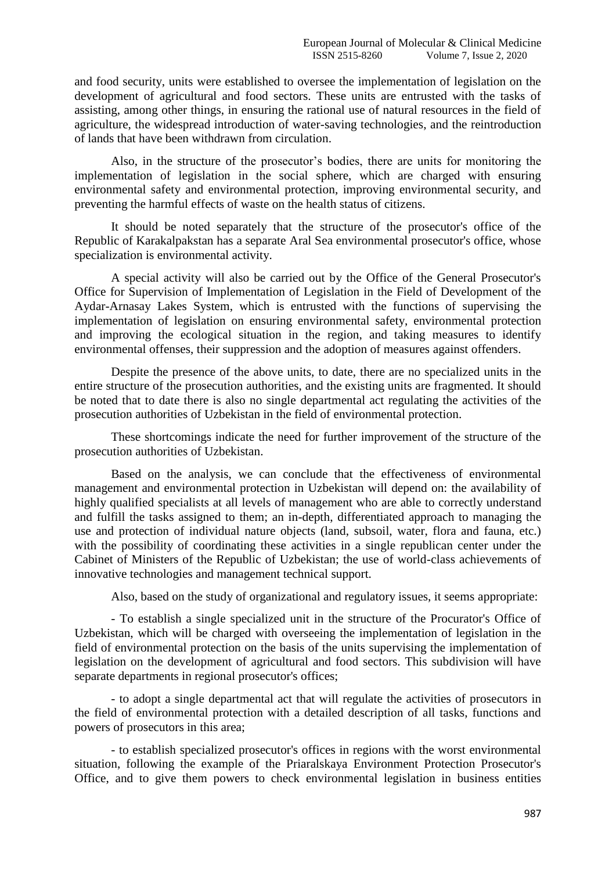and food security, units were established to oversee the implementation of legislation on the development of agricultural and food sectors. These units are entrusted with the tasks of assisting, among other things, in ensuring the rational use of natural resources in the field of agriculture, the widespread introduction of water-saving technologies, and the reintroduction of lands that have been withdrawn from circulation.

Also, in the structure of the prosecutor's bodies, there are units for monitoring the implementation of legislation in the social sphere, which are charged with ensuring environmental safety and environmental protection, improving environmental security, and preventing the harmful effects of waste on the health status of citizens.

It should be noted separately that the structure of the prosecutor's office of the Republic of Karakalpakstan has a separate Aral Sea environmental prosecutor's office, whose specialization is environmental activity.

A special activity will also be carried out by the Office of the General Prosecutor's Office for Supervision of Implementation of Legislation in the Field of Development of the Aydar-Arnasay Lakes System, which is entrusted with the functions of supervising the implementation of legislation on ensuring environmental safety, environmental protection and improving the ecological situation in the region, and taking measures to identify environmental offenses, their suppression and the adoption of measures against offenders.

Despite the presence of the above units, to date, there are no specialized units in the entire structure of the prosecution authorities, and the existing units are fragmented. It should be noted that to date there is also no single departmental act regulating the activities of the prosecution authorities of Uzbekistan in the field of environmental protection.

These shortcomings indicate the need for further improvement of the structure of the prosecution authorities of Uzbekistan.

Based on the analysis, we can conclude that the effectiveness of environmental management and environmental protection in Uzbekistan will depend on: the availability of highly qualified specialists at all levels of management who are able to correctly understand and fulfill the tasks assigned to them; an in-depth, differentiated approach to managing the use and protection of individual nature objects (land, subsoil, water, flora and fauna, etc.) with the possibility of coordinating these activities in a single republican center under the Cabinet of Ministers of the Republic of Uzbekistan; the use of world-class achievements of innovative technologies and management technical support.

Also, based on the study of organizational and regulatory issues, it seems appropriate:

- To establish a single specialized unit in the structure of the Procurator's Office of Uzbekistan, which will be charged with overseeing the implementation of legislation in the field of environmental protection on the basis of the units supervising the implementation of legislation on the development of agricultural and food sectors. This subdivision will have separate departments in regional prosecutor's offices;

- to adopt a single departmental act that will regulate the activities of prosecutors in the field of environmental protection with a detailed description of all tasks, functions and powers of prosecutors in this area;

- to establish specialized prosecutor's offices in regions with the worst environmental situation, following the example of the Priaralskaya Environment Protection Prosecutor's Office, and to give them powers to check environmental legislation in business entities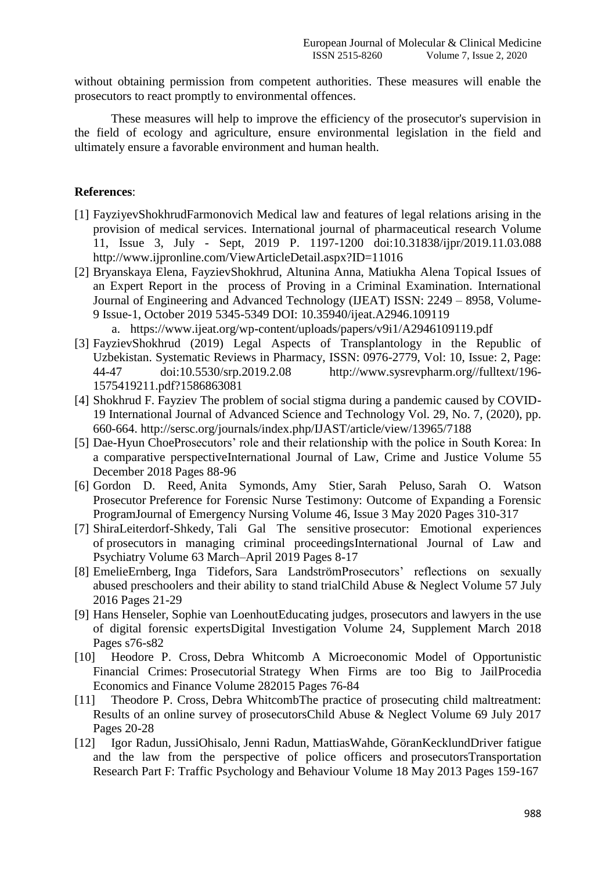without obtaining permission from competent authorities. These measures will enable the prosecutors to react promptly to environmental offences.

These measures will help to improve the efficiency of the prosecutor's supervision in the field of ecology and agriculture, ensure environmental legislation in the field and ultimately ensure a favorable environment and human health.

## **References**:

- [1] FayziyevShokhrudFarmonovich Medical law and features of legal relations arising in the provision of medical services. International journal of pharmaceutical research Volume 11, Issue 3, July - Sept, 2019 P. 1197-1200 doi:10.31838/ijpr/2019.11.03.088 http://www.ijpronline.com/ViewArticleDetail.aspx?ID=11016
- [2] Bryanskaya Elena, FayzievShokhrud, Altunina Anna, Matiukha Alena Topical Issues of an Expert Report in the process of Proving in a Criminal Examination. International Journal of Engineering and Advanced Technology (IJEAT) ISSN: 2249 – 8958, Volume-9 Issue-1, October 2019 5345-5349 DOI: 10.35940/ijeat.A2946.109119
	- a. https://www.ijeat.org/wp-content/uploads/papers/v9i1/A2946109119.pdf
- [3] FayzievShokhrud (2019) Legal Aspects of Transplantology in the Republic of Uzbekistan. Systematic Reviews in Pharmacy, ISSN: 0976-2779, Vol: 10, Issue: 2, Page: 44-47 doi:10.5530/srp.2019.2.08 http://www.sysrevpharm.org//fulltext/196- 1575419211.pdf?1586863081
- [4] Shokhrud F. Fayziev The problem of social stigma during a pandemic caused by COVID-19 International Journal of Advanced Science and Technology Vol. 29, No. 7, (2020), pp. 660-664. http://sersc.org/journals/index.php/IJAST/article/view/13965/7188
- [5] Dae-Hyun Cho[eProsecutors' role and their relationship with the police in South Korea: In](https://www.sciencedirect.com/science/article/pii/S1756061618301782)  [a comparative perspective](https://www.sciencedirect.com/science/article/pii/S1756061618301782)[International Journal of Law, Crime and Justice](https://www.sciencedirect.com/science/journal/17560616) Volume 55 December 2018 Pages 88-96
- [6] Gordon D. Reed, Anita Symonds, Amy Stier, Sarah Peluso, Sarah O. Watson Prosecutor [Preference for Forensic Nurse Testimony: Outcome of Expanding a Forensic](https://www.sciencedirect.com/science/article/pii/S009917672030057X)  [Program](https://www.sciencedirect.com/science/article/pii/S009917672030057X)[Journal of Emergency Nursing](https://www.sciencedirect.com/science/journal/00991767) Volume 46, Issue 3 May 2020 Pages 310-317
- [7] ShiraLeiterdorf-Shkedy, Tali Gal The sensitive [prosecutor: Emotional experiences](https://www.sciencedirect.com/science/article/pii/S0160252718300323)  of prosecutors [in managing criminal proceedings](https://www.sciencedirect.com/science/article/pii/S0160252718300323)[International Journal of Law and](https://www.sciencedirect.com/science/journal/01602527)  [Psychiatry](https://www.sciencedirect.com/science/journal/01602527) Volume 63 March–April 2019 Pages 8-17
- [8] EmelieErnberg, Inga Tidefors, Sara Landströ[mProsecutors' reflections on sexually](https://www.sciencedirect.com/science/article/pii/S0145213416300989)  [abused preschoolers and their ability to stand trial](https://www.sciencedirect.com/science/article/pii/S0145213416300989)[Child Abuse & Neglect](https://www.sciencedirect.com/science/journal/01452134) Volume 57 July 2016 Pages 21-29
- [9] Hans Henseler, Sophie van LoenhoutEducating judges, prosecutors [and lawyers in the use](https://www.sciencedirect.com/science/article/pii/S1742287618300422)  [of digital forensic experts](https://www.sciencedirect.com/science/article/pii/S1742287618300422)[Digital Investigation](https://www.sciencedirect.com/science/journal/17422876) Volume 24, Supplement March 2018 Pages s76-s82
- [10] Heodore P. Cross, Debra Whitcomb [A Microeconomic Model of Opportunistic](https://www.sciencedirect.com/science/article/pii/S2212567115010849)  Financial Crimes: Prosecutorial [Strategy When Firms are too Big to Jail](https://www.sciencedirect.com/science/article/pii/S2212567115010849)[Procedia](https://www.sciencedirect.com/science/journal/22125671)  [Economics and Finance](https://www.sciencedirect.com/science/journal/22125671) Volume 282015 Pages 76-84
- [11] Theodore P. Cross, Debra Whitcom[bThe practice of prosecuting child maltreatment:](https://www.sciencedirect.com/science/article/pii/S0145213417301473)  [Results of an online survey of](https://www.sciencedirect.com/science/article/pii/S0145213417301473) prosecutor[sChild Abuse & Neglect](https://www.sciencedirect.com/science/journal/01452134) Volume 69 July 2017 Pages 20-28
- [12] Igor Radun, JussiOhisalo, Jenni Radun, MattiasWahde, GöranKecklun[dDriver fatigue](https://www.sciencedirect.com/science/article/pii/S1369847813000181)  [and the law from the perspective of police officers and](https://www.sciencedirect.com/science/article/pii/S1369847813000181) prosecutor[sTransportation](https://www.sciencedirect.com/science/journal/13698478)  [Research Part F: Traffic Psychology and Behaviour](https://www.sciencedirect.com/science/journal/13698478) Volume 18 May 2013 Pages 159-167